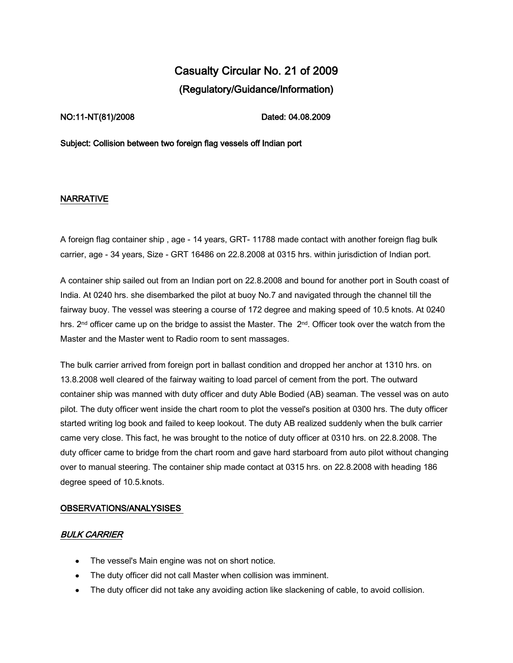# Casualty Circular No. 21 of 2009 (Regulatory/Guidance/Information)

#### NO:11-NT(81)/2008 Dated: 04.08.2009

Subject: Collision between two foreign flag vessels off Indian port

#### NARRATIVE

A foreign flag container ship , age - 14 years, GRT- 11788 made contact with another foreign flag bulk carrier, age - 34 years, Size - GRT 16486 on 22.8.2008 at 0315 hrs. within jurisdiction of Indian port.

A container ship sailed out from an Indian port on 22.8.2008 and bound for another port in South coast of India. At 0240 hrs. she disembarked the pilot at buoy No.7 and navigated through the channel till the fairway buoy. The vessel was steering a course of 172 degree and making speed of 10.5 knots. At 0240 hrs.  $2^{nd}$  officer came up on the bridge to assist the Master. The  $2^{nd}$ . Officer took over the watch from the Master and the Master went to Radio room to sent massages.

The bulk carrier arrived from foreign port in ballast condition and dropped her anchor at 1310 hrs. on 13.8.2008 well cleared of the fairway waiting to load parcel of cement from the port. The outward container ship was manned with duty officer and duty Able Bodied (AB) seaman. The vessel was on auto pilot. The duty officer went inside the chart room to plot the vessel's position at 0300 hrs. The duty officer started writing log book and failed to keep lookout. The duty AB realized suddenly when the bulk carrier came very close. This fact, he was brought to the notice of duty officer at 0310 hrs. on 22.8.2008. The duty officer came to bridge from the chart room and gave hard starboard from auto pilot without changing over to manual steering. The container ship made contact at 0315 hrs. on 22.8.2008 with heading 186 degree speed of 10.5.knots.

#### OBSERVATIONS/ANALYSISES

### BULK CARRIER

- The vessel's Main engine was not on short notice.
- The duty officer did not call Master when collision was imminent.
- The duty officer did not take any avoiding action like slackening of cable, to avoid collision.